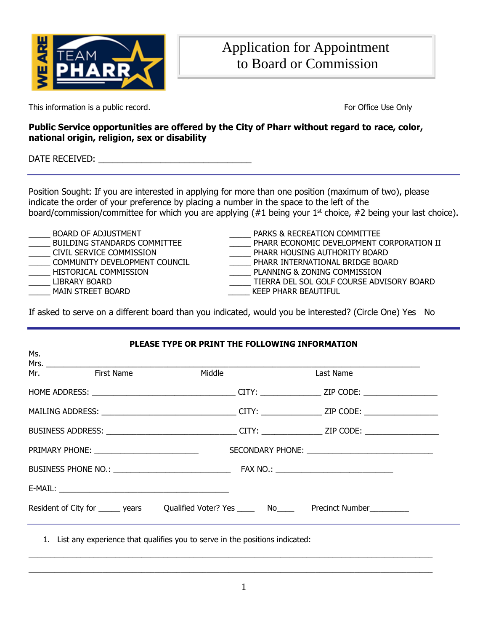

This information is a public record. This information is a public record.

## **Public Service opportunities are offered by the City of Pharr without regard to race, color, national origin, religion, sex or disability**

DATE RECEIVED: \_\_\_\_\_\_\_\_\_\_\_\_\_\_\_\_\_\_\_\_\_\_\_\_\_\_\_\_\_\_\_\_

Position Sought: If you are interested in applying for more than one position (maximum of two), please indicate the order of your preference by placing a number in the space to the left of the board/commission/committee for which you are applying  $(#1$  being your  $1<sup>st</sup>$  choice,  $#2$  being your last choice).

- 
- 
- 
- 

BOARD OF ADJUSTMENT THE RECREATION COMMITTEE BUILDING STANDARDS COMMITTEE THE PHARR ECONOMIC DEVELOPMENT CORPORATION II \_\_\_\_\_ CIVIL SERVICE COMMISSION \_\_\_\_\_ PHARR HOUSING AUTHORITY BOARD \_\_\_\_\_ COMMUNITY DEVELOPMENT COUNCIL \_\_\_\_\_ PHARR INTERNATIONAL BRIDGE BOARD HISTORICAL COMMISSION **EXECUTE A RELATION COMMISSION** PLANNING & ZONING COMMISSION \_\_\_\_\_ LIBRARY BOARD \_\_\_\_\_ TIERRA DEL SOL GOLF COURSE ADVISORY BOARD MAIN STREET BOARD **WAIN STREET BOARD WAIN STREET BOARD** 

If asked to serve on a different board than you indicated, would you be interested? (Circle One) Yes No

| PLEASE TYPE OR PRINT THE FOLLOWING INFORMATION<br>Ms. |  |                          |  |                                                                                   |  |  |
|-------------------------------------------------------|--|--------------------------|--|-----------------------------------------------------------------------------------|--|--|
| Mr. First Name                                        |  | <b>Example 19 Middle</b> |  | Last Name                                                                         |  |  |
|                                                       |  |                          |  |                                                                                   |  |  |
|                                                       |  |                          |  |                                                                                   |  |  |
|                                                       |  |                          |  |                                                                                   |  |  |
|                                                       |  |                          |  |                                                                                   |  |  |
|                                                       |  |                          |  |                                                                                   |  |  |
|                                                       |  |                          |  |                                                                                   |  |  |
|                                                       |  |                          |  | Resident of City for ______ years Qualified Voter? Yes _______ No Precinct Number |  |  |

1. List any experience that qualifies you to serve in the positions indicated:

 $\_$  ,  $\_$  ,  $\_$  ,  $\_$  ,  $\_$  ,  $\_$  ,  $\_$  ,  $\_$  ,  $\_$  ,  $\_$  ,  $\_$  ,  $\_$  ,  $\_$  ,  $\_$  ,  $\_$  ,  $\_$  ,  $\_$  ,  $\_$  ,  $\_$  ,  $\_$  ,  $\_$  ,  $\_$  ,  $\_$  ,  $\_$  ,  $\_$  ,  $\_$  ,  $\_$  ,  $\_$  ,  $\_$  ,  $\_$  ,  $\_$  ,  $\_$  ,  $\_$  ,  $\_$  ,  $\_$  ,  $\_$  ,  $\_$  , \_\_\_\_\_\_\_\_\_\_\_\_\_\_\_\_\_\_\_\_\_\_\_\_\_\_\_\_\_\_\_\_\_\_\_\_\_\_\_\_\_\_\_\_\_\_\_\_\_\_\_\_\_\_\_\_\_\_\_\_\_\_\_\_\_\_\_\_\_\_\_\_\_\_\_\_\_\_\_\_\_\_\_\_\_\_\_\_\_\_\_\_\_